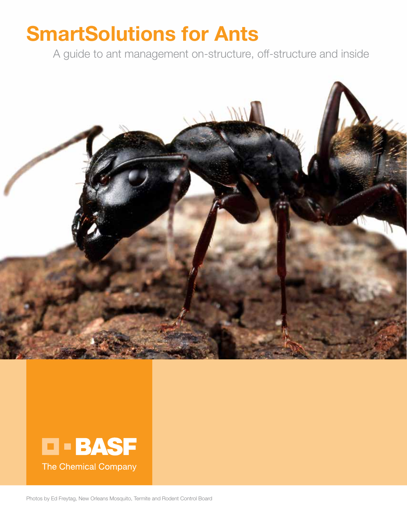# SmartSolutions for Ants

A guide to ant management on-structure, off-structure and inside





Photos by Ed Freytag, New Orleans Mosquito, Termite and Rodent Control Board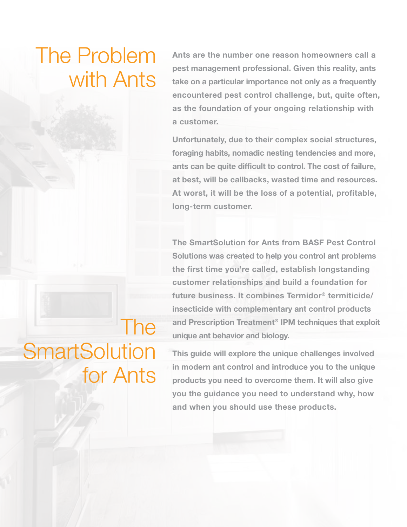# The Problem with Ants

Ants are the number one reason homeowners call a pest management professional. Given this reality, ants take on a particular importance not only as a frequently encountered pest control challenge, but, quite often, as the foundation of your ongoing relationship with a customer.

Unfortunately, due to their complex social structures, foraging habits, nomadic nesting tendencies and more, ants can be quite difficult to control. The cost of failure, at best, will be callbacks, wasted time and resources. At worst, it will be the loss of a potential, profitable, long-term customer.

The SmartSolution for Ants from BASF Pest Control Solutions was created to help you control ant problems the first time you're called, establish longstanding customer relationships and build a foundation for future business. It combines Termidor® termiticide/ insecticide with complementary ant control products and Prescription Treatment® IPM techniques that exploit unique ant behavior and biology.

# The **SmartSolution** for Ants

This guide will explore the unique challenges involved in modern ant control and introduce you to the unique products you need to overcome them. It will also give you the guidance you need to understand why, how and when you should use these products.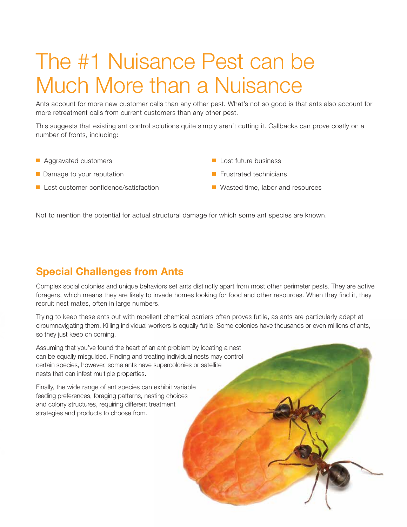# The #1 Nuisance Pest can be Much More than a Nuisance

Ants account for more new customer calls than any other pest. What's not so good is that ants also account for more retreatment calls from current customers than any other pest.

This suggests that existing ant control solutions quite simply aren't cutting it. Callbacks can prove costly on a number of fronts, including:

- **n** Aggravated customers
- $\blacksquare$  Damage to your reputation
- Lost customer confidence/satisfaction
- $\blacksquare$  Lost future business
- $\blacksquare$  Frustrated technicians
- $\blacksquare$  Wasted time, labor and resources

Not to mention the potential for actual structural damage for which some ant species are known.

# Special Challenges from Ants

Complex social colonies and unique behaviors set ants distinctly apart from most other perimeter pests. They are active foragers, which means they are likely to invade homes looking for food and other resources. When they find it, they recruit nest mates, often in large numbers.

Trying to keep these ants out with repellent chemical barriers often proves futile, as ants are particularly adept at circumnavigating them. Killing individual workers is equally futile. Some colonies have thousands or even millions of ants, so they just keep on coming.

Assuming that you've found the heart of an ant problem by locating a nest can be equally misguided. Finding and treating individual nests may control certain species, however, some ants have supercolonies or satellite nests that can infest multiple properties.

Finally, the wide range of ant species can exhibit variable feeding preferences, foraging patterns, nesting choices and colony structures, requiring different treatment strategies and products to choose from.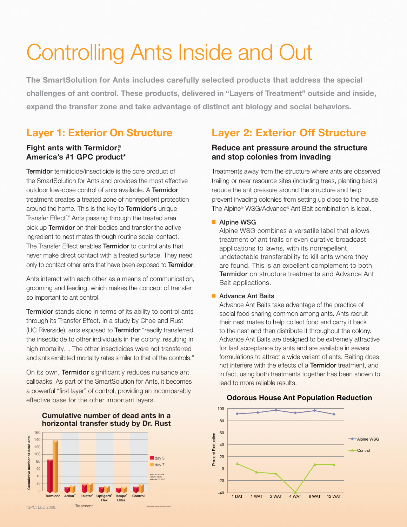# Controlling Ants Inside and Out

The SmartSolution for Ants includes carefully selected products that address the special challenges of ant control. These products, delivered in "Layers of Treatment" outside and inside, expand the transfer zone and take advantage of distinct ant biology and social behaviors.

# Layer 1: Exterior On Structure

## Fight ants with Termidor® America's #1 GPC product\*

Termidor termiticide/insecticide is the core product of the SmartSolution for Ants and provides the most effective outdoor low-dose control of ants available. A Termidor treatment creates a treated zone of nonrepellent protection around the home. This is the key to Termidor's unique Transfer Effect<sup>™</sup> Ants passing through the treated area pick up Termidor on their bodies and transfer the active ingredient to nest mates through routine social contact. The Transfer Effect enables **Termidor** to control ants that never make direct contact with a treated surface. They need only to contact other ants that have been exposed to Termidor.

Ants interact with each other as a means of communication, grooming and feeding, which makes the concept of transfer so important to ant control.

Termidor stands alone in terms of its ability to control ants through its Transfer Effect. In a study by Choe and Rust (UC Riverside), ants exposed to Termidor "readily transferred the insecticide to other individuals in the colony, resulting in high mortality… The other insecticides were not transferred and ants exhibited mortality rates similar to that of the controls."

On its own, **Termidor** significantly reduces nuisance ant callbacks. As part of the SmartSolution for Ants, it becomes a powerful "first layer" of control, providing an incomparably effective base for the other important layers.

### **Cumulative number of dead ants in a horizontal transfer study by Dr. Rust**



# Layer 2: Exterior Off Structure

# Reduce ant pressure around the structure and stop colonies from invading

Treatments away from the structure where ants are observed trailing or near resource sites (including trees, planting beds) reduce the ant pressure around the structure and help prevent invading colonies from setting up close to the house. The Alpine® WSG/Advance® Ant Bait combination is ideal.

## ■ Alpine WSG

Alpine WSG combines a versatile label that allows treatment of ant trails or even curative broadcast applications to lawns, with its nonrepellent, undetectable transferability to kill ants where they are found. This is an excellent complement to both **Termidor** on structure treatments and Advance Ant Bait applications.

## **Advance Ant Baits**

Advance Ant Baits take advantage of the practice of social food sharing common among ants. Ants recruit their nest mates to help collect food and carry it back to the nest and then distribute it throughout the colony. Advance Ant Baits are designed to be extremely attractive for fast acceptance by ants and are available in several formulations to attract a wide variant of ants. Baiting does not interfere with the effects of a Termidor treatment, and in fact, using both treatments together has been shown to lead to more reliable results.

### **Odorous House Ant Population Reduction**

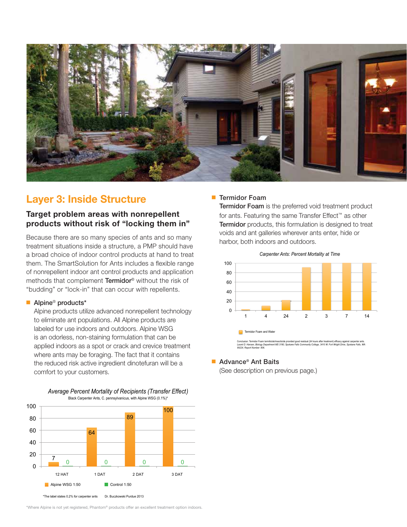

# Layer 3: Inside Structure

## Target problem areas with nonrepellent products without risk of "locking them in"

Because there are so many species of ants and so many treatment situations inside a structure, a PMP should have a broad choice of indoor control products at hand to treat them. The SmartSolution for Ants includes a flexible range of nonrepellent indoor ant control products and application methods that complement Termidor® without the risk of "budding" or "lock-in" that can occur with repellents.

### ■ Alpine<sup>®</sup> products\*

Alpine products utilize advanced nonrepellent technology to eliminate ant populations. All Alpine products are labeled for use indoors and outdoors. Alpine WSG is an odorless, non-staining formulation that can be applied indoors as a spot or crack and crevice treatment where ants may be foraging. The fact that it contains the reduced risk active ingredient dinotefuran will be a comfort to your customers.





\*Where Alpine is not yet registered, Phantom® products offer an excellent treatment option indoors.

## **Termidor Foam**

Termidor Foam is the preferred void treatment product for ants. Featuring the same Transfer Effect™ as other Termidor products, this formulation is designed to treat voids and ant galleries wherever ants enter, hide or harbor, both indoors and outdoors.



### ■ Advance<sup>®</sup> Ant Baits

(See description on previous page.)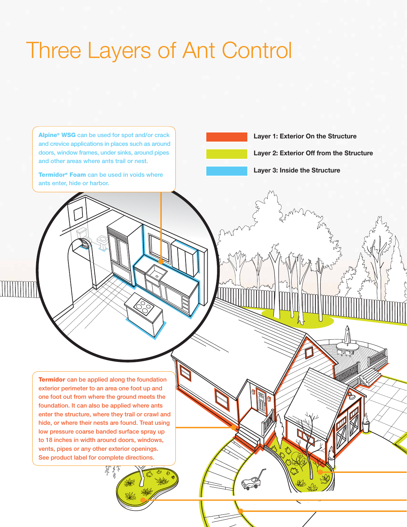# Three Layers of Ant Control

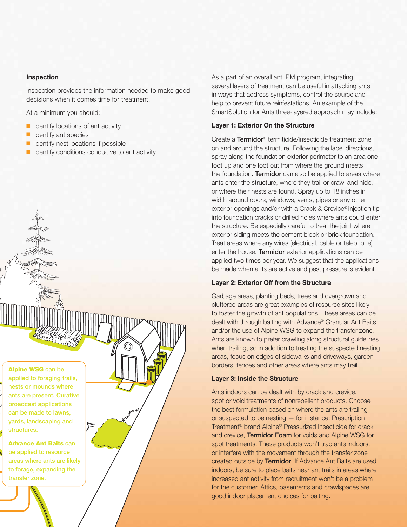#### Inspection

Inspection provides the information needed to make good decisions when it comes time for treatment.

At a minimum you should:

- $\blacksquare$  Identify locations of ant activity
- $\blacksquare$  Identify ant species
- $\blacksquare$  Identify nest locations if possible
- $\blacksquare$  Identify conditions conducive to ant activity

As a part of an overall ant IPM program, integrating several layers of treatment can be useful in attacking ants in ways that address symptoms, control the source and help to prevent future reinfestations. An example of the SmartSolution for Ants three-layered approach may include:

#### Layer 1: Exterior On the Structure

Create a Termidor® termiticide/insecticide treatment zone on and around the structure. Following the label directions, spray along the foundation exterior perimeter to an area one foot up and one foot out from where the ground meets the foundation. **Termidor** can also be applied to areas where ants enter the structure, where they trail or crawl and hide, or where their nests are found. Spray up to 18 inches in width around doors, windows, vents, pipes or any other exterior openings and/or with a Crack & Crevice® injection tip into foundation cracks or drilled holes where ants could enter the structure. Be especially careful to treat the joint where exterior siding meets the cement block or brick foundation. Treat areas where any wires (electrical, cable or telephone) enter the house. Termidor exterior applications can be applied two times per year. We suggest that the applications be made when ants are active and pest pressure is evident.

### Layer 2: Exterior Off from the Structure

Garbage areas, planting beds, trees and overgrown and cluttered areas are great examples of resource sites likely to foster the growth of ant populations. These areas can be dealt with through baiting with Advance® Granular Ant Baits and/or the use of Alpine WSG to expand the transfer zone. Ants are known to prefer crawling along structural guidelines when trailing, so in addition to treating the suspected nesting areas, focus on edges of sidewalks and driveways, garden borders, fences and other areas where ants may trail.

#### Layer 3: Inside the Structure

Ants indoors can be dealt with by crack and crevice, spot or void treatments of nonrepellent products. Choose the best formulation based on where the ants are trailing or suspected to be nesting — for instance: Prescription Treatment® brand Alpine® Pressurized Insecticide for crack and crevice, Termidor Foam for voids and Alpine WSG for spot treatments. These products won't trap ants indoors, or interfere with the movement through the transfer zone created outside by Termidor. If Advance Ant Baits are used indoors, be sure to place baits near ant trails in areas where increased ant activity from recruitment won't be a problem for the customer. Attics, basements and crawlspaces are good indoor placement choices for baiting.

Alpine WSG can be applied to foraging trails, nests or mounds where ants are present. Curative broadcast applications can be made to lawns, yards, landscaping and structures.

Advance Ant Baits can be applied to resource areas where ants are likely to forage, expanding the transfer zone.